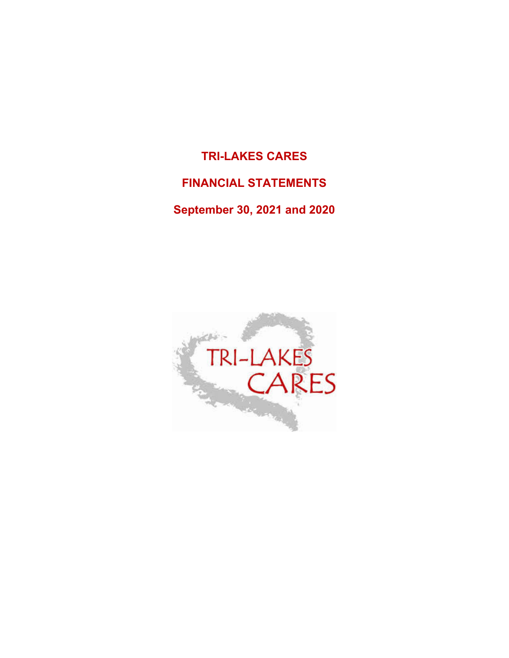# **TRI-LAKES CARES**

# **FINANCIAL STATEMENTS**

**September 30, 2021 and 2020** 

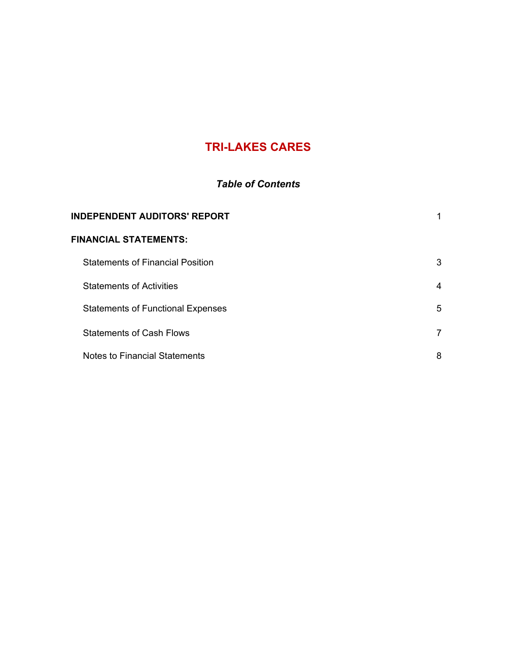# **TRI-LAKES CARES**

## *Table of Contents*

| <b>INDEPENDENT AUDITORS' REPORT</b>      |   |
|------------------------------------------|---|
| <b>FINANCIAL STATEMENTS:</b>             |   |
| <b>Statements of Financial Position</b>  | 3 |
| <b>Statements of Activities</b>          | 4 |
| <b>Statements of Functional Expenses</b> | 5 |
| <b>Statements of Cash Flows</b>          | 7 |
| <b>Notes to Financial Statements</b>     | 8 |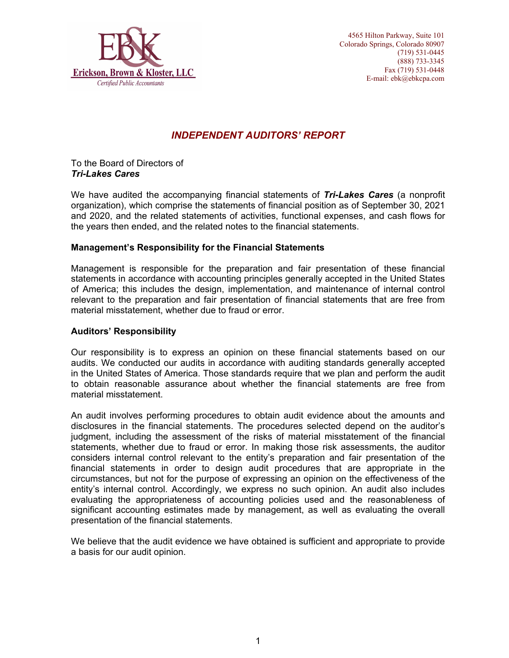

## *INDEPENDENT AUDITORS' REPORT*

## To the Board of Directors of *Tri-Lakes Cares*

We have audited the accompanying financial statements of *Tri-Lakes Cares* (a nonprofit organization), which comprise the statements of financial position as of September 30, 2021 and 2020, and the related statements of activities, functional expenses, and cash flows for the years then ended, and the related notes to the financial statements.

## **Management's Responsibility for the Financial Statements**

Management is responsible for the preparation and fair presentation of these financial statements in accordance with accounting principles generally accepted in the United States of America; this includes the design, implementation, and maintenance of internal control relevant to the preparation and fair presentation of financial statements that are free from material misstatement, whether due to fraud or error.

### **Auditors' Responsibility**

Our responsibility is to express an opinion on these financial statements based on our audits. We conducted our audits in accordance with auditing standards generally accepted in the United States of America. Those standards require that we plan and perform the audit to obtain reasonable assurance about whether the financial statements are free from material misstatement.

An audit involves performing procedures to obtain audit evidence about the amounts and disclosures in the financial statements. The procedures selected depend on the auditor's judgment, including the assessment of the risks of material misstatement of the financial statements, whether due to fraud or error. In making those risk assessments, the auditor considers internal control relevant to the entity's preparation and fair presentation of the financial statements in order to design audit procedures that are appropriate in the circumstances, but not for the purpose of expressing an opinion on the effectiveness of the entity's internal control. Accordingly, we express no such opinion. An audit also includes evaluating the appropriateness of accounting policies used and the reasonableness of significant accounting estimates made by management, as well as evaluating the overall presentation of the financial statements.

We believe that the audit evidence we have obtained is sufficient and appropriate to provide a basis for our audit opinion.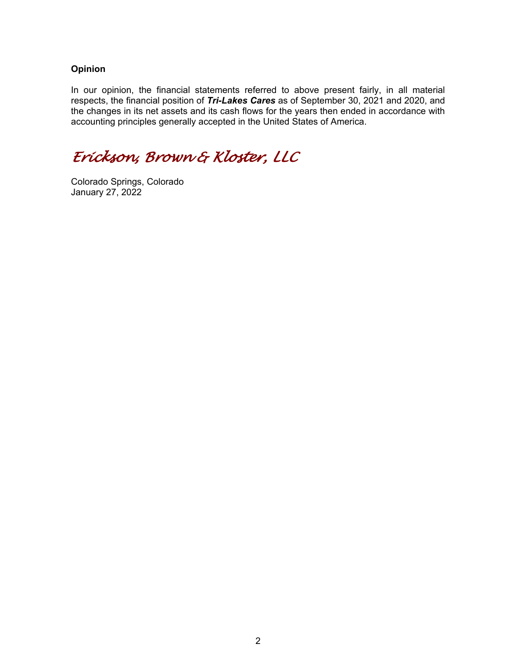## **Opinion**

In our opinion, the financial statements referred to above present fairly, in all material respects, the financial position of *Tri-Lakes Cares* as of September 30, 2021 and 2020, and the changes in its net assets and its cash flows for the years then ended in accordance with accounting principles generally accepted in the United States of America.

*Erickson, Brown & Kloster, LLC* 

Colorado Springs, Colorado January 27, 2022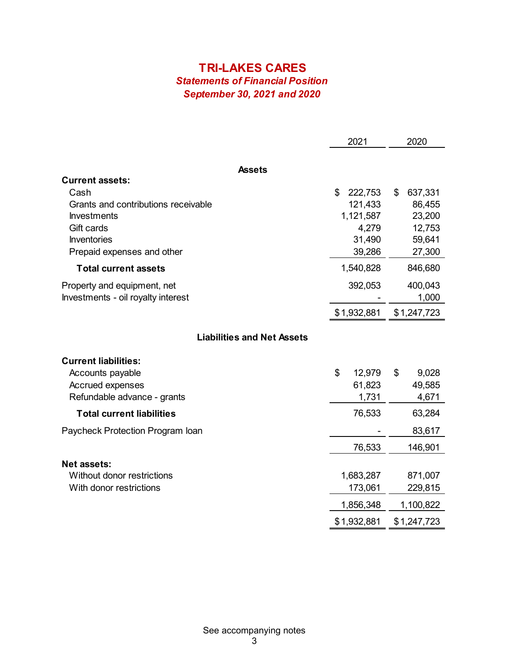## **TRI-LAKES CARES** *Statements of Financial Position September 30, 2021 and 2020*

|                                                                                                                                     | 2021                                                               | 2020                                                            |
|-------------------------------------------------------------------------------------------------------------------------------------|--------------------------------------------------------------------|-----------------------------------------------------------------|
| <b>Assets</b>                                                                                                                       |                                                                    |                                                                 |
| <b>Current assets:</b>                                                                                                              |                                                                    |                                                                 |
| Cash<br>Grants and contributions receivable<br><b>Investments</b><br>Gift cards<br><b>Inventories</b><br>Prepaid expenses and other | \$<br>222,753<br>121,433<br>1,121,587<br>4,279<br>31,490<br>39,286 | \$<br>637,331<br>86,455<br>23,200<br>12,753<br>59,641<br>27,300 |
| <b>Total current assets</b>                                                                                                         | 1,540,828                                                          | 846,680                                                         |
| Property and equipment, net<br>Investments - oil royalty interest                                                                   | 392,053                                                            | 400,043<br>1,000                                                |
|                                                                                                                                     | \$1,932,881                                                        | \$1,247,723                                                     |
| <b>Liabilities and Net Assets</b>                                                                                                   |                                                                    |                                                                 |
| <b>Current liabilities:</b><br>Accounts payable<br>Accrued expenses<br>Refundable advance - grants                                  | \$<br>12,979<br>61,823<br>1,731                                    | \$<br>9,028<br>49,585<br>4,671                                  |
| <b>Total current liabilities</b>                                                                                                    | 76,533                                                             | 63,284                                                          |
| Paycheck Protection Program Ioan                                                                                                    |                                                                    | 83,617                                                          |
|                                                                                                                                     | 76,533                                                             | 146,901                                                         |
| <b>Net assets:</b><br>Without donor restrictions<br>With donor restrictions                                                         | 1,683,287<br>173,061<br>1,856,348<br>\$1,932,881                   | 871,007<br>229,815<br>1,100,822<br>\$1,247,723                  |
|                                                                                                                                     |                                                                    |                                                                 |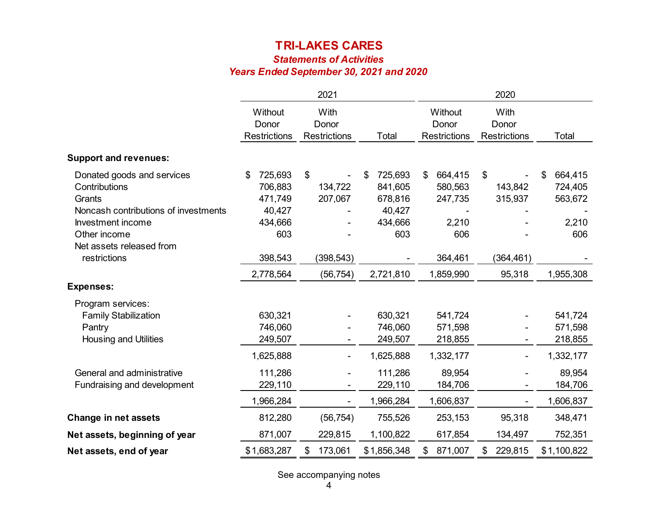## **TRI-LAKES CARES***Statements of Activities Years Ended September 30, 2021 and 2020*

|                                                                                                                                    |                                                           | 2021                                 |                                                                 |                                                                 | 2020                                 |                                                     |
|------------------------------------------------------------------------------------------------------------------------------------|-----------------------------------------------------------|--------------------------------------|-----------------------------------------------------------------|-----------------------------------------------------------------|--------------------------------------|-----------------------------------------------------|
|                                                                                                                                    | Without<br>Donor<br><b>Restrictions</b>                   | With<br>Donor<br><b>Restrictions</b> | Total                                                           | Without<br>Donor<br><b>Restrictions</b>                         | With<br>Donor<br><b>Restrictions</b> | Total                                               |
| <b>Support and revenues:</b>                                                                                                       |                                                           |                                      |                                                                 |                                                                 |                                      |                                                     |
| Donated goods and services<br>Contributions<br>Grants<br>Noncash contributions of investments<br>Investment income<br>Other income | 725,693<br>706,883<br>471,749<br>40,427<br>434,666<br>603 | \$<br>134,722<br>207,067             | 725,693<br>\$<br>841,605<br>678,816<br>40,427<br>434,666<br>603 | 664,415<br>$\mathfrak{F}$<br>580,563<br>247,735<br>2,210<br>606 | \$<br>143,842<br>315,937             | 664,415<br>\$<br>724,405<br>563,672<br>2,210<br>606 |
| Net assets released from<br>restrictions                                                                                           | 398,543<br>2,778,564                                      | (398, 543)<br>(56, 754)              | 2,721,810                                                       | 364,461<br>1,859,990                                            | (364,461)<br>95,318                  | 1,955,308                                           |
| <b>Expenses:</b>                                                                                                                   |                                                           |                                      |                                                                 |                                                                 |                                      |                                                     |
| Program services:<br><b>Family Stabilization</b><br>Pantry<br><b>Housing and Utilities</b>                                         | 630,321<br>746,060<br>249,507                             |                                      | 630,321<br>746,060<br>249,507                                   | 541,724<br>571,598<br>218,855                                   |                                      | 541,724<br>571,598<br>218,855                       |
| General and administrative<br>Fundraising and development                                                                          | 1,625,888<br>111,286<br>229,110                           | ۰<br>$\blacksquare$                  | 1,625,888<br>111,286<br>229,110                                 | 1,332,177<br>89,954<br>184,706                                  |                                      | 1,332,177<br>89,954<br>184,706                      |
|                                                                                                                                    | 1,966,284                                                 |                                      | 1,966,284                                                       | 1,606,837                                                       |                                      | 1,606,837                                           |
| <b>Change in net assets</b>                                                                                                        | 812,280                                                   | (56, 754)                            | 755,526                                                         | 253,153                                                         | 95,318                               | 348,471                                             |
| Net assets, beginning of year                                                                                                      | 871,007                                                   | 229,815                              | 1,100,822                                                       | 617,854                                                         | 134,497                              | 752,351                                             |
| Net assets, end of year                                                                                                            | \$1,683,287                                               | 173,061<br>\$                        | \$1,856,348                                                     | 871,007<br>\$                                                   | 229,815<br>\$                        | \$1,100,822                                         |

See accompanying notes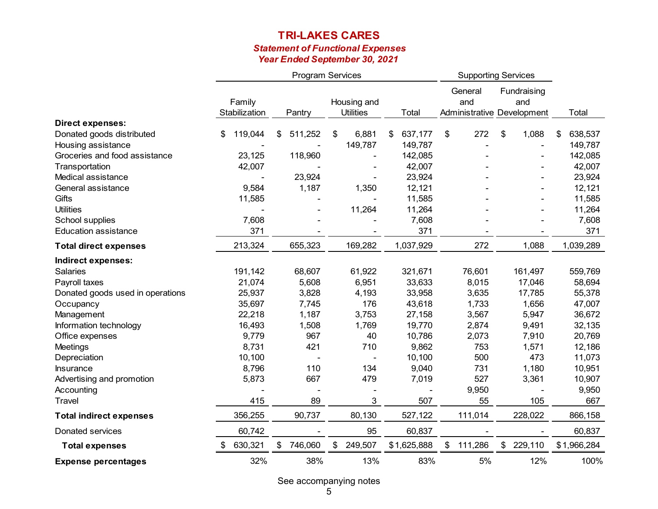## **TRI-LAKES CARES** *Statement of Functional Expenses Year Ended September 30, 2021*

|                                  | <b>Program Services</b> |    |         |    |                              | <b>Supporting Services</b> |    |                            |    |                    |               |
|----------------------------------|-------------------------|----|---------|----|------------------------------|----------------------------|----|----------------------------|----|--------------------|---------------|
|                                  | Family                  |    |         |    | Housing and                  |                            |    | General<br>and             |    | Fundraising<br>and |               |
|                                  | Stabilization           |    | Pantry  |    | <b>Utilities</b>             | Total                      |    | Administrative Development |    |                    | Total         |
| <b>Direct expenses:</b>          |                         |    |         |    |                              |                            |    |                            |    |                    |               |
| Donated goods distributed        | 119,044<br>\$           | \$ | 511,252 | \$ | 6,881                        | \$<br>637,177              | \$ | 272                        | \$ | 1,088              | \$<br>638,537 |
| Housing assistance               |                         |    |         |    | 149,787                      | 149,787                    |    |                            |    |                    | 149,787       |
| Groceries and food assistance    | 23,125                  |    | 118,960 |    |                              | 142,085                    |    |                            |    |                    | 142,085       |
| Transportation                   | 42,007                  |    |         |    |                              | 42,007                     |    |                            |    |                    | 42,007        |
| Medical assistance               |                         |    | 23,924  |    |                              | 23,924                     |    |                            |    |                    | 23,924        |
| General assistance               | 9,584                   |    | 1,187   |    | 1,350                        | 12,121                     |    |                            |    |                    | 12,121        |
| Gifts                            | 11,585                  |    |         |    |                              | 11,585                     |    |                            |    |                    | 11,585        |
| <b>Utilities</b>                 |                         |    |         |    | 11,264                       | 11,264                     |    |                            |    |                    | 11,264        |
| School supplies                  | 7,608                   |    |         |    |                              | 7,608                      |    |                            |    |                    | 7,608         |
| <b>Education assistance</b>      | 371                     |    |         |    |                              | 371                        |    |                            |    |                    | 371           |
| <b>Total direct expenses</b>     | 213,324                 |    | 655,323 |    | 169,282                      | 1,037,929                  |    | 272                        |    | 1,088              | 1,039,289     |
| Indirect expenses:               |                         |    |         |    |                              |                            |    |                            |    |                    |               |
| <b>Salaries</b>                  | 191,142                 |    | 68,607  |    | 61,922                       | 321,671                    |    | 76,601                     |    | 161,497            | 559,769       |
| Payroll taxes                    | 21,074                  |    | 5,608   |    | 6,951                        | 33,633                     |    | 8,015                      |    | 17,046             | 58,694        |
| Donated goods used in operations | 25,937                  |    | 3,828   |    | 4,193                        | 33,958                     |    | 3,635                      |    | 17,785             | 55,378        |
| Occupancy                        | 35,697                  |    | 7,745   |    | 176                          | 43,618                     |    | 1,733                      |    | 1,656              | 47,007        |
| Management                       | 22,218                  |    | 1,187   |    | 3,753                        | 27,158                     |    | 3,567                      |    | 5,947              | 36,672        |
| Information technology           | 16,493                  |    | 1,508   |    | 1,769                        | 19,770                     |    | 2,874                      |    | 9,491              | 32,135        |
| Office expenses                  | 9,779                   |    | 967     |    | 40                           | 10,786                     |    | 2,073                      |    | 7,910              | 20,769        |
| Meetings                         | 8,731                   |    | 421     |    | 710                          | 9,862                      |    | 753                        |    | 1,571              | 12,186        |
| Depreciation                     | 10,100                  |    |         |    | $\qquad \qquad \blacksquare$ | 10,100                     |    | 500                        |    | 473                | 11,073        |
| Insurance                        | 8,796                   |    | 110     |    | 134                          | 9,040                      |    | 731                        |    | 1,180              | 10,951        |
| Advertising and promotion        | 5,873                   |    | 667     |    | 479                          | 7,019                      |    | 527                        |    | 3,361              | 10,907        |
| Accounting                       |                         |    |         |    |                              |                            |    | 9,950                      |    |                    | 9,950         |
| Travel                           | 415                     |    | 89      |    | 3                            | 507                        |    | 55                         |    | 105                | 667           |
| <b>Total indirect expenses</b>   | 356,255                 |    | 90,737  |    | 80,130                       | 527,122                    |    | 111,014                    |    | 228,022            | 866,158       |
| Donated services                 | 60,742                  |    |         |    | 95                           | 60,837                     |    |                            |    |                    | 60,837        |
| <b>Total expenses</b>            | 630,321                 | \$ | 746,060 | \$ | 249,507                      | \$1,625,888                | \$ | 111,286                    |    | \$229,110          | \$1,966,284   |
| <b>Expense percentages</b>       | 32%                     |    | 38%     |    | 13%                          | 83%                        |    | 5%                         |    | 12%                | 100%          |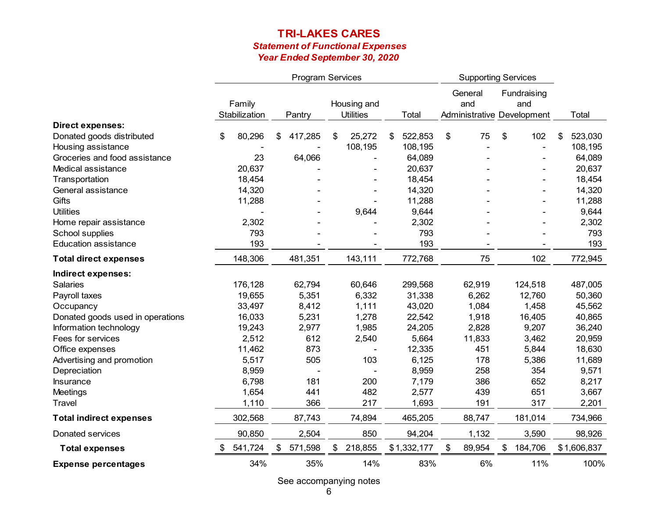## **TRI-LAKES CARES** *Statement of Functional Expenses Year Ended September 30, 2020*

|                                  | <b>Program Services</b> |    |         |    |                                 | <b>Supporting Services</b> |    |                |    |                                                  |               |
|----------------------------------|-------------------------|----|---------|----|---------------------------------|----------------------------|----|----------------|----|--------------------------------------------------|---------------|
|                                  | Family<br>Stabilization |    | Pantry  |    | Housing and<br><b>Utilities</b> | Total                      |    | General<br>and |    | Fundraising<br>and<br>Administrative Development | Total         |
| <b>Direct expenses:</b>          |                         |    |         |    |                                 |                            |    |                |    |                                                  |               |
| Donated goods distributed        | \$<br>80,296            | \$ | 417,285 | \$ | 25,272                          | \$<br>522,853              | \$ | 75             | \$ | 102                                              | \$<br>523,030 |
| Housing assistance               |                         |    |         |    | 108,195                         | 108,195                    |    |                |    | $\overline{\phantom{0}}$                         | 108,195       |
| Groceries and food assistance    | 23                      |    | 64,066  |    |                                 | 64,089                     |    |                |    |                                                  | 64,089        |
| Medical assistance               | 20,637                  |    |         |    |                                 | 20,637                     |    |                |    |                                                  | 20,637        |
| Transportation                   | 18,454                  |    |         |    |                                 | 18,454                     |    |                |    |                                                  | 18,454        |
| General assistance               | 14,320                  |    |         |    |                                 | 14,320                     |    |                |    |                                                  | 14,320        |
| Gifts                            | 11,288                  |    |         |    |                                 | 11,288                     |    |                |    |                                                  | 11,288        |
| <b>Utilities</b>                 |                         |    |         |    | 9,644                           | 9,644                      |    |                |    |                                                  | 9,644         |
| Home repair assistance           | 2,302                   |    |         |    |                                 | 2,302                      |    |                |    |                                                  | 2,302         |
| School supplies                  | 793                     |    |         |    |                                 | 793                        |    |                |    |                                                  | 793           |
| <b>Education assistance</b>      | 193                     |    |         |    |                                 | 193                        |    |                |    | $\qquad \qquad \blacksquare$                     | 193           |
| <b>Total direct expenses</b>     | 148,306                 |    | 481,351 |    | 143,111                         | 772,768                    |    | 75             |    | 102                                              | 772,945       |
| Indirect expenses:               |                         |    |         |    |                                 |                            |    |                |    |                                                  |               |
| Salaries                         | 176,128                 |    | 62,794  |    | 60,646                          | 299,568                    |    | 62,919         |    | 124,518                                          | 487,005       |
| Payroll taxes                    | 19,655                  |    | 5,351   |    | 6,332                           | 31,338                     |    | 6,262          |    | 12,760                                           | 50,360        |
| Occupancy                        | 33,497                  |    | 8,412   |    | 1,111                           | 43,020                     |    | 1,084          |    | 1,458                                            | 45,562        |
| Donated goods used in operations | 16,033                  |    | 5,231   |    | 1,278                           | 22,542                     |    | 1,918          |    | 16,405                                           | 40,865        |
| Information technology           | 19,243                  |    | 2,977   |    | 1,985                           | 24,205                     |    | 2,828          |    | 9,207                                            | 36,240        |
| Fees for services                | 2,512                   |    | 612     |    | 2,540                           | 5,664                      |    | 11,833         |    | 3,462                                            | 20,959        |
| Office expenses                  | 11,462                  |    | 873     |    | $\overline{a}$                  | 12,335                     |    | 451            |    | 5,844                                            | 18,630        |
| Advertising and promotion        | 5,517                   |    | 505     |    | 103                             | 6,125                      |    | 178            |    | 5,386                                            | 11,689        |
| Depreciation                     | 8,959                   |    |         |    |                                 | 8,959                      |    | 258            |    | 354                                              | 9,571         |
| <b>Insurance</b>                 | 6,798                   |    | 181     |    | 200                             | 7,179                      |    | 386            |    | 652                                              | 8,217         |
| <b>Meetings</b>                  | 1,654                   |    | 441     |    | 482                             | 2,577                      |    | 439            |    | 651                                              | 3,667         |
| Travel                           | 1,110                   |    | 366     |    | 217                             | 1,693                      |    | 191            |    | 317                                              | 2,201         |
| <b>Total indirect expenses</b>   | 302,568                 |    | 87,743  |    | 74,894                          | 465,205                    |    | 88,747         |    | 181,014                                          | 734,966       |
| Donated services                 | 90,850                  |    | 2,504   |    | 850                             | 94,204                     |    | 1,132          |    | 3,590                                            | 98,926        |
| <b>Total expenses</b>            | \$<br>541,724           | \$ | 571,598 | \$ | 218,855                         | \$1,332,177                | \$ | 89,954         | \$ | 184,706                                          | \$1,606,837   |
| <b>Expense percentages</b>       | 34%                     |    | 35%     |    | 14%                             | 83%                        |    | 6%             |    | 11%                                              | 100%          |

See accompanying notes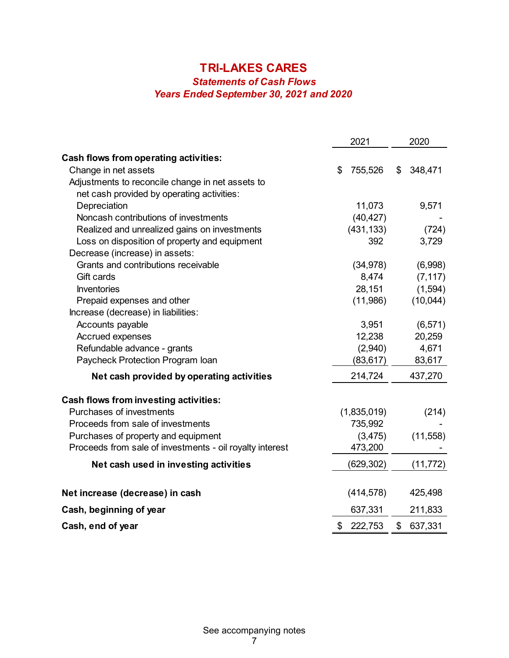# **TRI-LAKES CARES**

## *Statements of Cash Flows Years Ended September 30, 2021 and 2020*

|                                                          | 2021          |    | 2020      |
|----------------------------------------------------------|---------------|----|-----------|
| <b>Cash flows from operating activities:</b>             |               |    |           |
| Change in net assets                                     | \$<br>755,526 | \$ | 348,471   |
| Adjustments to reconcile change in net assets to         |               |    |           |
| net cash provided by operating activities:               |               |    |           |
| Depreciation                                             | 11,073        |    | 9,571     |
| Noncash contributions of investments                     | (40, 427)     |    |           |
| Realized and unrealized gains on investments             | (431, 133)    |    | (724)     |
| Loss on disposition of property and equipment            | 392           |    | 3,729     |
| Decrease (increase) in assets:                           |               |    |           |
| Grants and contributions receivable                      | (34, 978)     |    | (6,998)   |
| Gift cards                                               | 8,474         |    | (7, 117)  |
| <b>Inventories</b>                                       | 28,151        |    | (1,594)   |
| Prepaid expenses and other                               | (11,986)      |    | (10,044)  |
| Increase (decrease) in liabilities:                      |               |    |           |
| Accounts payable                                         | 3,951         |    | (6, 571)  |
| Accrued expenses                                         | 12,238        |    | 20,259    |
| Refundable advance - grants                              | (2,940)       |    | 4,671     |
| Paycheck Protection Program Ioan                         | (83, 617)     |    | 83,617    |
| Net cash provided by operating activities                | 214,724       |    | 437,270   |
| <b>Cash flows from investing activities:</b>             |               |    |           |
| Purchases of investments                                 | (1,835,019)   |    | (214)     |
| Proceeds from sale of investments                        | 735,992       |    |           |
| Purchases of property and equipment                      | (3, 475)      |    | (11, 558) |
| Proceeds from sale of investments - oil royalty interest | 473,200       |    |           |
| Net cash used in investing activities                    | (629, 302)    |    | (11, 772) |
| Net increase (decrease) in cash                          | (414, 578)    |    | 425,498   |
|                                                          |               |    |           |
| Cash, beginning of year                                  | 637,331       |    | 211,833   |
| Cash, end of year                                        | \$<br>222,753 | \$ | 637,331   |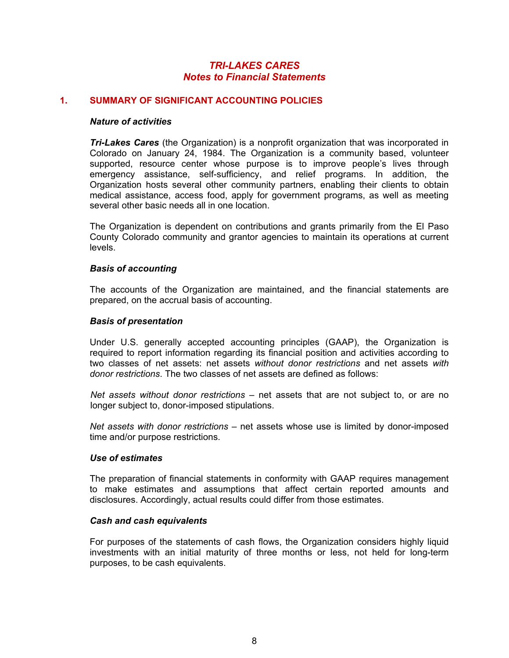## *TRI-LAKES CARES Notes to Financial Statements*

## **1. SUMMARY OF SIGNIFICANT ACCOUNTING POLICIES**

#### *Nature of activities*

*Tri-Lakes Cares* (the Organization) is a nonprofit organization that was incorporated in Colorado on January 24, 1984. The Organization is a community based, volunteer supported, resource center whose purpose is to improve people's lives through emergency assistance, self-sufficiency, and relief programs. In addition, the Organization hosts several other community partners, enabling their clients to obtain medical assistance, access food, apply for government programs, as well as meeting several other basic needs all in one location.

The Organization is dependent on contributions and grants primarily from the El Paso County Colorado community and grantor agencies to maintain its operations at current levels.

#### *Basis of accounting*

The accounts of the Organization are maintained, and the financial statements are prepared, on the accrual basis of accounting.

#### *Basis of presentation*

Under U.S. generally accepted accounting principles (GAAP), the Organization is required to report information regarding its financial position and activities according to two classes of net assets: net assets *without donor restrictions* and net assets *with donor restrictions*. The two classes of net assets are defined as follows:

*Net assets without donor restrictions* – net assets that are not subject to, or are no longer subject to, donor-imposed stipulations.

*Net assets with donor restrictions* – net assets whose use is limited by donor-imposed time and/or purpose restrictions.

## *Use of estimates*

The preparation of financial statements in conformity with GAAP requires management to make estimates and assumptions that affect certain reported amounts and disclosures. Accordingly, actual results could differ from those estimates.

#### *Cash and cash equivalents*

For purposes of the statements of cash flows, the Organization considers highly liquid investments with an initial maturity of three months or less, not held for long-term purposes, to be cash equivalents.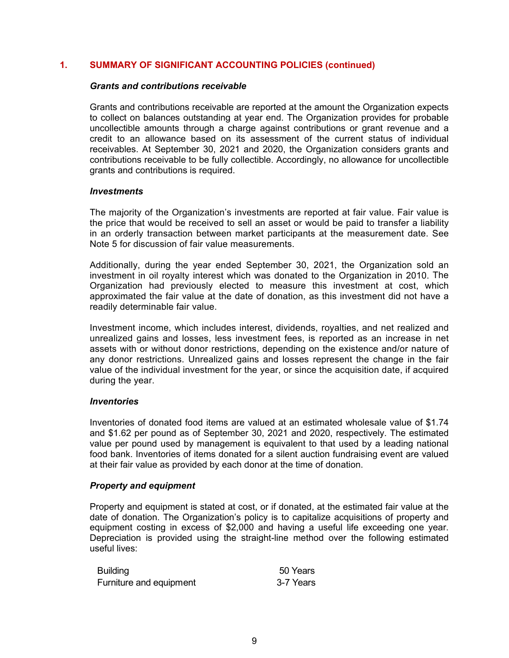## **1. SUMMARY OF SIGNIFICANT ACCOUNTING POLICIES (continued)**

#### *Grants and contributions receivable*

Grants and contributions receivable are reported at the amount the Organization expects to collect on balances outstanding at year end. The Organization provides for probable uncollectible amounts through a charge against contributions or grant revenue and a credit to an allowance based on its assessment of the current status of individual receivables. At September 30, 2021 and 2020, the Organization considers grants and contributions receivable to be fully collectible. Accordingly, no allowance for uncollectible grants and contributions is required.

#### *Investments*

The majority of the Organization's investments are reported at fair value. Fair value is the price that would be received to sell an asset or would be paid to transfer a liability in an orderly transaction between market participants at the measurement date. See Note 5 for discussion of fair value measurements.

Additionally, during the year ended September 30, 2021, the Organization sold an investment in oil royalty interest which was donated to the Organization in 2010. The Organization had previously elected to measure this investment at cost, which approximated the fair value at the date of donation, as this investment did not have a readily determinable fair value.

Investment income, which includes interest, dividends, royalties, and net realized and unrealized gains and losses, less investment fees, is reported as an increase in net assets with or without donor restrictions, depending on the existence and/or nature of any donor restrictions. Unrealized gains and losses represent the change in the fair value of the individual investment for the year, or since the acquisition date, if acquired during the year.

#### *Inventories*

Inventories of donated food items are valued at an estimated wholesale value of \$1.74 and \$1.62 per pound as of September 30, 2021 and 2020, respectively. The estimated value per pound used by management is equivalent to that used by a leading national food bank. Inventories of items donated for a silent auction fundraising event are valued at their fair value as provided by each donor at the time of donation.

#### *Property and equipment*

Property and equipment is stated at cost, or if donated, at the estimated fair value at the date of donation. The Organization's policy is to capitalize acquisitions of property and equipment costing in excess of \$2,000 and having a useful life exceeding one year. Depreciation is provided using the straight-line method over the following estimated useful lives:

| <b>Building</b>         | 50 Years  |
|-------------------------|-----------|
| Furniture and equipment | 3-7 Years |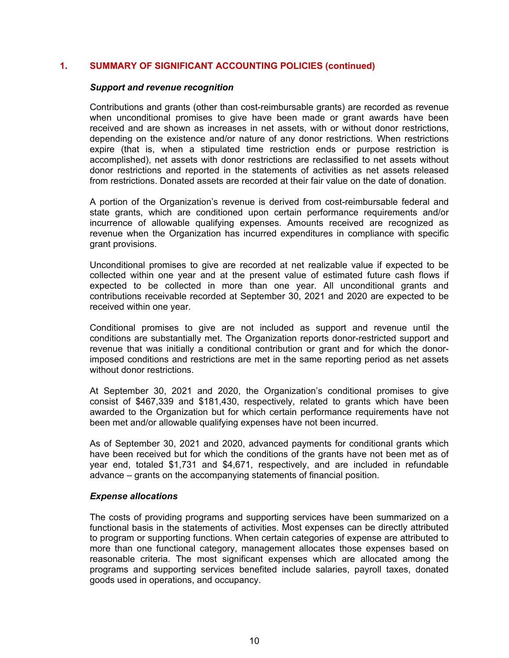## **1. SUMMARY OF SIGNIFICANT ACCOUNTING POLICIES (continued)**

#### *Support and revenue recognition*

Contributions and grants (other than cost-reimbursable grants) are recorded as revenue when unconditional promises to give have been made or grant awards have been received and are shown as increases in net assets, with or without donor restrictions, depending on the existence and/or nature of any donor restrictions. When restrictions expire (that is, when a stipulated time restriction ends or purpose restriction is accomplished), net assets with donor restrictions are reclassified to net assets without donor restrictions and reported in the statements of activities as net assets released from restrictions. Donated assets are recorded at their fair value on the date of donation.

A portion of the Organization's revenue is derived from cost-reimbursable federal and state grants, which are conditioned upon certain performance requirements and/or incurrence of allowable qualifying expenses. Amounts received are recognized as revenue when the Organization has incurred expenditures in compliance with specific grant provisions.

Unconditional promises to give are recorded at net realizable value if expected to be collected within one year and at the present value of estimated future cash flows if expected to be collected in more than one year. All unconditional grants and contributions receivable recorded at September 30, 2021 and 2020 are expected to be received within one year.

Conditional promises to give are not included as support and revenue until the conditions are substantially met. The Organization reports donor-restricted support and revenue that was initially a conditional contribution or grant and for which the donorimposed conditions and restrictions are met in the same reporting period as net assets without donor restrictions.

At September 30, 2021 and 2020, the Organization's conditional promises to give consist of \$467,339 and \$181,430, respectively, related to grants which have been awarded to the Organization but for which certain performance requirements have not been met and/or allowable qualifying expenses have not been incurred.

As of September 30, 2021 and 2020, advanced payments for conditional grants which have been received but for which the conditions of the grants have not been met as of year end, totaled \$1,731 and \$4,671, respectively, and are included in refundable advance – grants on the accompanying statements of financial position.

#### *Expense allocations*

The costs of providing programs and supporting services have been summarized on a functional basis in the statements of activities. Most expenses can be directly attributed to program or supporting functions. When certain categories of expense are attributed to more than one functional category, management allocates those expenses based on reasonable criteria. The most significant expenses which are allocated among the programs and supporting services benefited include salaries, payroll taxes, donated goods used in operations, and occupancy.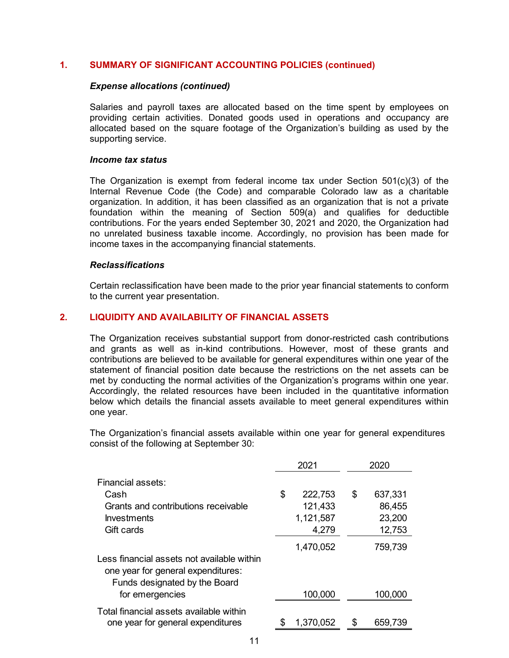## **1. SUMMARY OF SIGNIFICANT ACCOUNTING POLICIES (continued)**

#### *Expense allocations (continued)*

Salaries and payroll taxes are allocated based on the time spent by employees on providing certain activities. Donated goods used in operations and occupancy are allocated based on the square footage of the Organization's building as used by the supporting service.

#### *Income tax status*

The Organization is exempt from federal income tax under Section 501(c)(3) of the Internal Revenue Code (the Code) and comparable Colorado law as a charitable organization. In addition, it has been classified as an organization that is not a private foundation within the meaning of Section 509(a) and qualifies for deductible contributions. For the years ended September 30, 2021 and 2020, the Organization had no unrelated business taxable income. Accordingly, no provision has been made for income taxes in the accompanying financial statements.

#### *Reclassifications*

Certain reclassification have been made to the prior year financial statements to conform to the current year presentation.

## **2. LIQUIDITY AND AVAILABILITY OF FINANCIAL ASSETS**

The Organization receives substantial support from donor-restricted cash contributions and grants as well as in-kind contributions. However, most of these grants and contributions are believed to be available for general expenditures within one year of the statement of financial position date because the restrictions on the net assets can be met by conducting the normal activities of the Organization's programs within one year. Accordingly, the related resources have been included in the quantitative information below which details the financial assets available to meet general expenditures within one year.

The Organization's financial assets available within one year for general expenditures consist of the following at September 30:

|                                                                                                                   | 2021 |           | 2020          |
|-------------------------------------------------------------------------------------------------------------------|------|-----------|---------------|
| Financial assets:                                                                                                 |      |           |               |
| Cash                                                                                                              | \$   | 222,753   | \$<br>637,331 |
| Grants and contributions receivable                                                                               |      | 121,433   | 86,455        |
| <b>Investments</b>                                                                                                |      | 1,121,587 | 23,200        |
| Gift cards                                                                                                        |      | 4,279     | 12,753        |
|                                                                                                                   |      | 1,470,052 | 759,739       |
| Less financial assets not available within<br>one year for general expenditures:<br>Funds designated by the Board |      |           |               |
| for emergencies                                                                                                   |      | 100,000   | 100,000       |
| Total financial assets available within                                                                           |      |           |               |
| one year for general expenditures                                                                                 | \$   | 1,370,052 | 659,739       |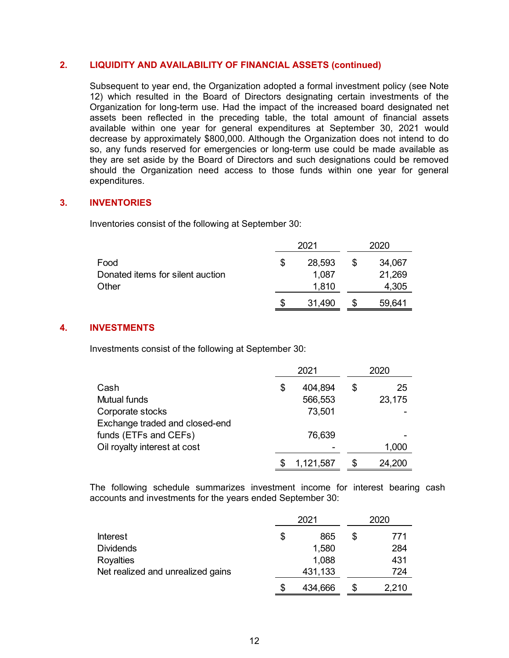### **2. LIQUIDITY AND AVAILABILITY OF FINANCIAL ASSETS (continued)**

Subsequent to year end, the Organization adopted a formal investment policy (see Note 12) which resulted in the Board of Directors designating certain investments of the Organization for long-term use. Had the impact of the increased board designated net assets been reflected in the preceding table, the total amount of financial assets available within one year for general expenditures at September 30, 2021 would decrease by approximately \$800,000. Although the Organization does not intend to do so, any funds reserved for emergencies or long-term use could be made available as they are set aside by the Board of Directors and such designations could be removed should the Organization need access to those funds within one year for general expenditures.

## **3. INVENTORIES**

Inventories consist of the following at September 30:

|                                  | 2021   | 2020   |
|----------------------------------|--------|--------|
| Food                             | 28,593 | 34,067 |
| Donated items for silent auction | 1,087  | 21,269 |
| Other                            | 1,810  | 4,305  |
|                                  | 31,490 | 59,641 |

#### **4. INVESTMENTS**

Investments consist of the following at September 30:

|                                |    | 2021      |   | 2020   |  |  |  |
|--------------------------------|----|-----------|---|--------|--|--|--|
| Cash                           | \$ | 404,894   | S | 25     |  |  |  |
| <b>Mutual funds</b>            |    | 566,553   |   | 23,175 |  |  |  |
| Corporate stocks               |    | 73,501    |   |        |  |  |  |
| Exchange traded and closed-end |    |           |   |        |  |  |  |
| funds (ETFs and CEFs)          |    | 76,639    |   |        |  |  |  |
| Oil royalty interest at cost   |    |           |   | 1,000  |  |  |  |
|                                |    | 1,121,587 |   | 24,200 |  |  |  |

The following schedule summarizes investment income for interest bearing cash accounts and investments for the years ended September 30:

|                                   |    | 2021    |   | 2020  |
|-----------------------------------|----|---------|---|-------|
| <b>Interest</b>                   | \$ | 865     | S | 771   |
| <b>Dividends</b>                  |    | 1,580   |   | 284   |
| <b>Royalties</b>                  |    | 1,088   |   | 431   |
| Net realized and unrealized gains |    | 431,133 |   | 724   |
|                                   | S  | 434,666 |   | 2,210 |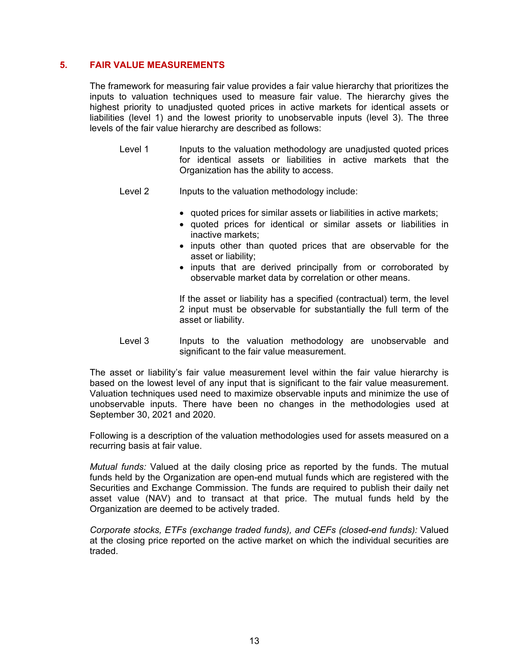## **5. FAIR VALUE MEASUREMENTS**

The framework for measuring fair value provides a fair value hierarchy that prioritizes the inputs to valuation techniques used to measure fair value. The hierarchy gives the highest priority to unadjusted quoted prices in active markets for identical assets or liabilities (level 1) and the lowest priority to unobservable inputs (level 3). The three levels of the fair value hierarchy are described as follows:

- Level 1 **Inputs to the valuation methodology are unadjusted quoted prices** for identical assets or liabilities in active markets that the Organization has the ability to access.
- Level 2 Inputs to the valuation methodology include:
	- quoted prices for similar assets or liabilities in active markets;
	- quoted prices for identical or similar assets or liabilities in inactive markets;
	- inputs other than quoted prices that are observable for the asset or liability;
	- inputs that are derived principally from or corroborated by observable market data by correlation or other means.

If the asset or liability has a specified (contractual) term, the level 2 input must be observable for substantially the full term of the asset or liability.

Level 3 Inputs to the valuation methodology are unobservable and significant to the fair value measurement.

The asset or liability's fair value measurement level within the fair value hierarchy is based on the lowest level of any input that is significant to the fair value measurement. Valuation techniques used need to maximize observable inputs and minimize the use of unobservable inputs. There have been no changes in the methodologies used at September 30, 2021 and 2020.

Following is a description of the valuation methodologies used for assets measured on a recurring basis at fair value.

*Mutual funds:* Valued at the daily closing price as reported by the funds. The mutual funds held by the Organization are open-end mutual funds which are registered with the Securities and Exchange Commission. The funds are required to publish their daily net asset value (NAV) and to transact at that price. The mutual funds held by the Organization are deemed to be actively traded.

*Corporate stocks, ETFs (exchange traded funds), and CEFs (closed-end funds):* Valued at the closing price reported on the active market on which the individual securities are traded.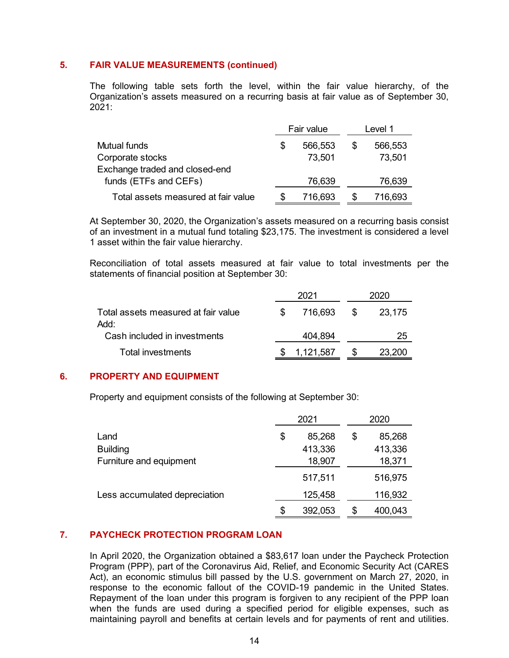## **5. FAIR VALUE MEASUREMENTS (continued)**

The following table sets forth the level, within the fair value hierarchy, of the Organization's assets measured on a recurring basis at fair value as of September 30,  $2021:$ 

|                                     | Fair value    |   | Level 1 |
|-------------------------------------|---------------|---|---------|
| Mutual funds                        | \$<br>566,553 | S | 566,553 |
| Corporate stocks                    | 73,501        |   | 73,501  |
| Exchange traded and closed-end      |               |   |         |
| funds (ETFs and CEFs)               | 76,639        |   | 76,639  |
| Total assets measured at fair value | 716,693       |   | 716,693 |

At September 30, 2020, the Organization's assets measured on a recurring basis consist of an investment in a mutual fund totaling \$23,175. The investment is considered a level 1 asset within the fair value hierarchy.

Reconciliation of total assets measured at fair value to total investments per the statements of financial position at September 30:

|    |           |   | ነበ2በ   |  |
|----|-----------|---|--------|--|
| S. | 716,693   | S | 23,175 |  |
|    | 404,894   |   | 25     |  |
|    | 1,121,587 |   | 23,200 |  |
|    |           |   |        |  |

#### **6. PROPERTY AND EQUIPMENT**

Property and equipment consists of the following at September 30:

|                               | 2021 |         | 2020 |         |
|-------------------------------|------|---------|------|---------|
| Land                          | \$   | 85,268  | \$   | 85,268  |
| <b>Building</b>               |      | 413,336 |      | 413,336 |
| Furniture and equipment       |      | 18,907  |      | 18,371  |
|                               |      | 517,511 |      | 516,975 |
| Less accumulated depreciation |      | 125,458 |      | 116,932 |
|                               | S    | 392,053 | \$.  | 400,043 |

## **7. PAYCHECK PROTECTION PROGRAM LOAN**

In April 2020, the Organization obtained a \$83,617 loan under the Paycheck Protection Program (PPP), part of the Coronavirus Aid, Relief, and Economic Security Act (CARES Act), an economic stimulus bill passed by the U.S. government on March 27, 2020, in response to the economic fallout of the COVID-19 pandemic in the United States. Repayment of the loan under this program is forgiven to any recipient of the PPP loan when the funds are used during a specified period for eligible expenses, such as maintaining payroll and benefits at certain levels and for payments of rent and utilities.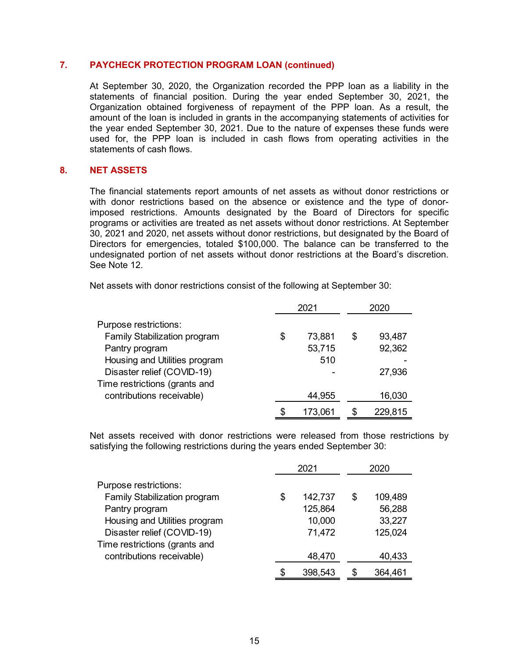### **7. PAYCHECK PROTECTION PROGRAM LOAN (continued)**

At September 30, 2020, the Organization recorded the PPP loan as a liability in the statements of financial position. During the year ended September 30, 2021, the Organization obtained forgiveness of repayment of the PPP loan. As a result, the amount of the loan is included in grants in the accompanying statements of activities for the year ended September 30, 2021. Due to the nature of expenses these funds were used for, the PPP loan is included in cash flows from operating activities in the statements of cash flows.

### **8. NET ASSETS**

The financial statements report amounts of net assets as without donor restrictions or with donor restrictions based on the absence or existence and the type of donorimposed restrictions. Amounts designated by the Board of Directors for specific programs or activities are treated as net assets without donor restrictions. At September 30, 2021 and 2020, net assets without donor restrictions, but designated by the Board of Directors for emergencies, totaled \$100,000. The balance can be transferred to the undesignated portion of net assets without donor restrictions at the Board's discretion. See Note 12.

Net assets with donor restrictions consist of the following at September 30:

|                                     | 2021 |         | 2020 |         |
|-------------------------------------|------|---------|------|---------|
| Purpose restrictions:               |      |         |      |         |
| <b>Family Stabilization program</b> | \$   | 73,881  | S    | 93,487  |
| Pantry program                      |      | 53,715  |      | 92,362  |
| Housing and Utilities program       |      | 510     |      |         |
| Disaster relief (COVID-19)          |      |         |      | 27,936  |
| Time restrictions (grants and       |      |         |      |         |
| contributions receivable)           |      | 44,955  |      | 16,030  |
|                                     |      | 173,061 |      | 229,815 |

Net assets received with donor restrictions were released from those restrictions by satisfying the following restrictions during the years ended September 30:

|                               | 2021          |   | 2020    |  |
|-------------------------------|---------------|---|---------|--|
| Purpose restrictions:         |               |   |         |  |
| Family Stabilization program  | \$<br>142,737 | S | 109,489 |  |
| Pantry program                | 125,864       |   | 56,288  |  |
| Housing and Utilities program | 10,000        |   | 33,227  |  |
| Disaster relief (COVID-19)    | 71,472        |   | 125,024 |  |
| Time restrictions (grants and |               |   |         |  |
| contributions receivable)     | 48,470        |   | 40,433  |  |
|                               | \$<br>398,543 |   | 364,461 |  |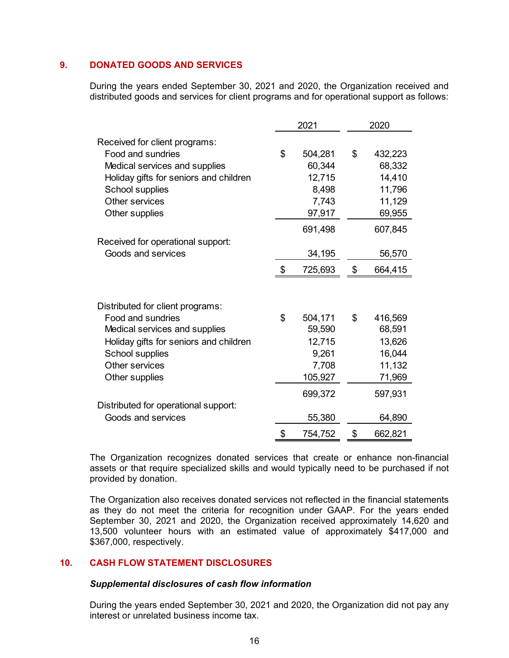## **9. DONATED GOODS AND SERVICES**

During the years ended September 30, 2021 and 2020, the Organization received and distributed goods and services for client programs and for operational support as follows:

|                                        | 2021 |         | 2020          |  |
|----------------------------------------|------|---------|---------------|--|
| Received for client programs:          |      |         |               |  |
| Food and sundries                      | \$   | 504,281 | \$<br>432,223 |  |
| Medical services and supplies          |      | 60,344  | 68,332        |  |
| Holiday gifts for seniors and children |      | 12,715  | 14,410        |  |
| School supplies                        |      | 8,498   | 11,796        |  |
| Other services                         |      | 7,743   | 11,129        |  |
| Other supplies                         |      | 97,917  | 69,955        |  |
|                                        |      | 691,498 | 607,845       |  |
| Received for operational support:      |      |         |               |  |
| Goods and services                     |      | 34,195  | 56,570        |  |
|                                        | \$   | 725,693 | \$<br>664,415 |  |
|                                        |      |         |               |  |
| Distributed for client programs:       |      |         |               |  |
| Food and sundries                      | \$   | 504,171 | \$<br>416,569 |  |
| Medical services and supplies          |      | 59,590  | 68,591        |  |
| Holiday gifts for seniors and children |      | 12,715  | 13,626        |  |
| School supplies                        |      | 9,261   | 16,044        |  |
| Other services                         |      | 7,708   | 11,132        |  |
| Other supplies                         |      | 105,927 | 71,969        |  |
|                                        |      | 699,372 | 597,931       |  |
| Distributed for operational support:   |      |         |               |  |
| Goods and services                     |      | 55,380  | 64,890        |  |
|                                        | \$   | 754,752 | \$<br>662,821 |  |

The Organization recognizes donated services that create or enhance non-financial assets or that require specialized skills and would typically need to be purchased if not provided by donation.

The Organization also receives donated services not reflected in the financial statements as they do not meet the criteria for recognition under GAAP. For the years ended September 30, 2021 and 2020, the Organization received approximately 14,620 and 13,500 volunteer hours with an estimated value of approximately \$417,000 and \$367,000, respectively.

## **10. CASH FLOW STATEMENT DISCLOSURES**

#### *Supplemental disclosures of cash flow information*

During the years ended September 30, 2021 and 2020, the Organization did not pay any interest or unrelated business income tax.